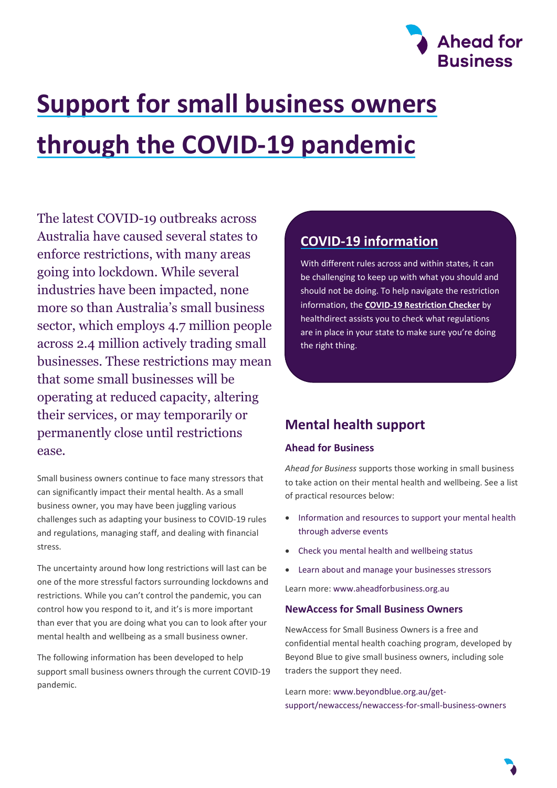

# **Support for small business owners through the COVID-19 pandemic**

The latest COVID-19 outbreaks across Australia have caused several states to enforce restrictions, with many areas going into lockdown. While several industries have been impacted, none more so than Australia's small business sector, which employs 4.7 million people across 2.4 million actively trading small businesses. These restrictions may mean that some small businesses will be operating at reduced capacity, altering their services, or may temporarily or permanently close until restrictions ease.

Small business owners continue to face many stressors that can significantly impact their mental health. As a small business owner, you may have been juggling various challenges such as adapting your business to COVID-19 rules and regulations, managing staff, and dealing with financial stress.

The uncertainty around how long restrictions will last can be one of the more stressful factors surrounding lockdowns and restrictions. While you can't control the pandemic, you can control how you respond to it, and it's is more important than ever that you are doing what you can to look after your mental health and wellbeing as a small business owner.

The following information has been developed to help support small business owners through the current COVID-19 pandemic.

# **COVID-19 information**

With different rules across and within states, it can be challenging to keep up with what you should and should not be doing. To help navigate the restriction information, the **[COVID-19 Restriction Checker](https://www.healthdirect.gov.au/covid19-restriction-checker)** by healthdirect assists you to check what regulations are in place in your state to make sure you're doing the right thing.

# **Mental health support**

### **Ahead for Business**

*Ahead for Business* supports those working in small business to take action on their mental health and wellbeing. See a list of practical resources below:

- [Information and resources to support your mental health](https://aheadforbusiness.org.au/resource/support-for-yourself?filter=adverse%20events)  [through adverse events](https://aheadforbusiness.org.au/resource/support-for-yourself?filter=adverse%20events)
- [Check you mental health and wellbeing status](https://aheadforbusiness.org.au/mental-health-check-up)
- Learn about and [manage your businesses stressors](https://aheadforbusiness.org.au/business-stressor-screen)

Learn more[: www.aheadforbusiness.org.au](http://www.aheadforbusiness.org.au/)

#### **NewAccess for Small Business Owners**

NewAccess for Small Business Owners is a free and confidential mental health coaching program, developed by Beyond Blue to give small business owners, including sole traders the support they need.

Learn more[: www.beyondblue.org.au/get](http://www.beyondblue.org.au/get-support/newaccess/newaccess-for-small-business-owners)[support/newaccess/newaccess-for-small-business-owners](http://www.beyondblue.org.au/get-support/newaccess/newaccess-for-small-business-owners)